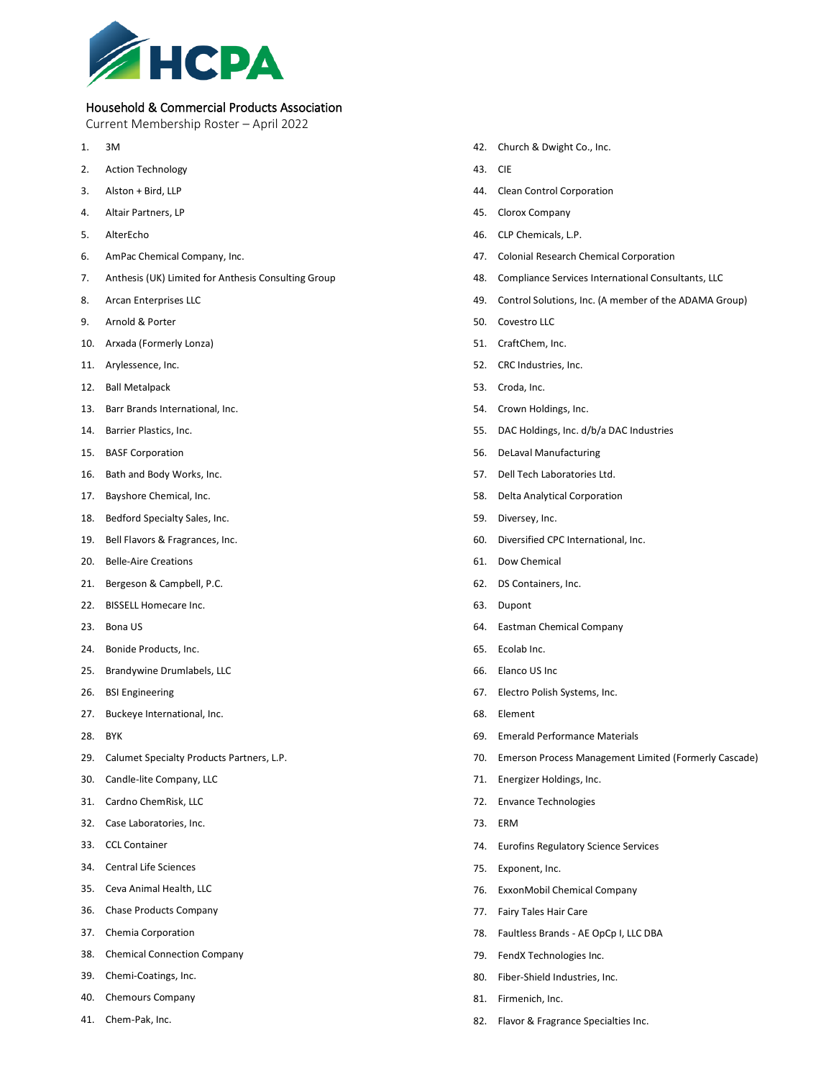

## Household & Commercial Products Association

Current Membership Roster – April 2022

- 1. 3M
- 2. Action Technology
- 3. Alston + Bird, LLP
- 4. Altair Partners, LP
- 5. AlterEcho
- 6. AmPac Chemical Company, Inc.
- 7. Anthesis (UK) Limited for Anthesis Consulting Group
- 8. Arcan Enterprises LLC
- 9. Arnold & Porter
- 10. Arxada (Formerly Lonza)
- 11. Arylessence, Inc.
- 12. Ball Metalpack
- 13. Barr Brands International, Inc.
- 14. Barrier Plastics, Inc.
- 15. BASF Corporation
- 16. Bath and Body Works, Inc.
- 17. Bayshore Chemical, Inc.
- 18. Bedford Specialty Sales, Inc.
- 19. Bell Flavors & Fragrances, Inc.
- 20. Belle-Aire Creations
- 21. Bergeson & Campbell, P.C.
- 22. BISSELL Homecare Inc.
- 23. Bona US
- 24. Bonide Products, Inc.
- 25. Brandywine Drumlabels, LLC
- 26. BSI Engineering
- 27. Buckeye International, Inc.
- 28. BYK
- 29. Calumet Specialty Products Partners, L.P.
- 30. Candle-lite Company, LLC
- 31. Cardno ChemRisk, LLC
- 32. Case Laboratories, Inc.
- 33. CCL Container
- 34. Central Life Sciences
- 35. Ceva Animal Health, LLC
- 36. Chase Products Company
- 37. Chemia Corporation
- 38. Chemical Connection Company
- 39. Chemi-Coatings, Inc.
- 40. Chemours Company
- 41. Chem-Pak, Inc.
- 42. Church & Dwight Co., Inc.
- 43. CIE
- 44. Clean Control Corporation
- 45. Clorox Company
- 46. CLP Chemicals, L.P.
- 47. Colonial Research Chemical Corporation
- 48. Compliance Services International Consultants, LLC
- 49. Control Solutions, Inc. (A member of the ADAMA Group)
- 50. Covestro LLC
- 51. CraftChem, Inc.
- 52. CRC Industries, Inc.
- 53. Croda, Inc.
- 54. Crown Holdings, Inc.
- 55. DAC Holdings, Inc. d/b/a DAC Industries
- 56. DeLaval Manufacturing
- 57. Dell Tech Laboratories Ltd.
- 58. Delta Analytical Corporation
- 59. Diversey, Inc.
- 60. Diversified CPC International, Inc.
- 61. Dow Chemical
- 62. DS Containers, Inc.
- 63. Dupont
- 64. Eastman Chemical Company
- 65. Ecolab Inc.
- 66. Elanco US Inc
- 67. Electro Polish Systems, Inc.
- 68. Element
- 69. Emerald Performance Materials
- 70. Emerson Process Management Limited (Formerly Cascade)
- 71. Energizer Holdings, Inc.
- 72. Envance Technologies
- 73. ERM
- 74. Eurofins Regulatory Science Services
- 75. Exponent, Inc.
- 76. ExxonMobil Chemical Company
- 77. Fairy Tales Hair Care
- 78. Faultless Brands AE OpCp I, LLC DBA
- 79. FendX Technologies Inc.
- 80. Fiber-Shield Industries, Inc.
- 81. Firmenich, Inc.
- 82. Flavor & Fragrance Specialties Inc.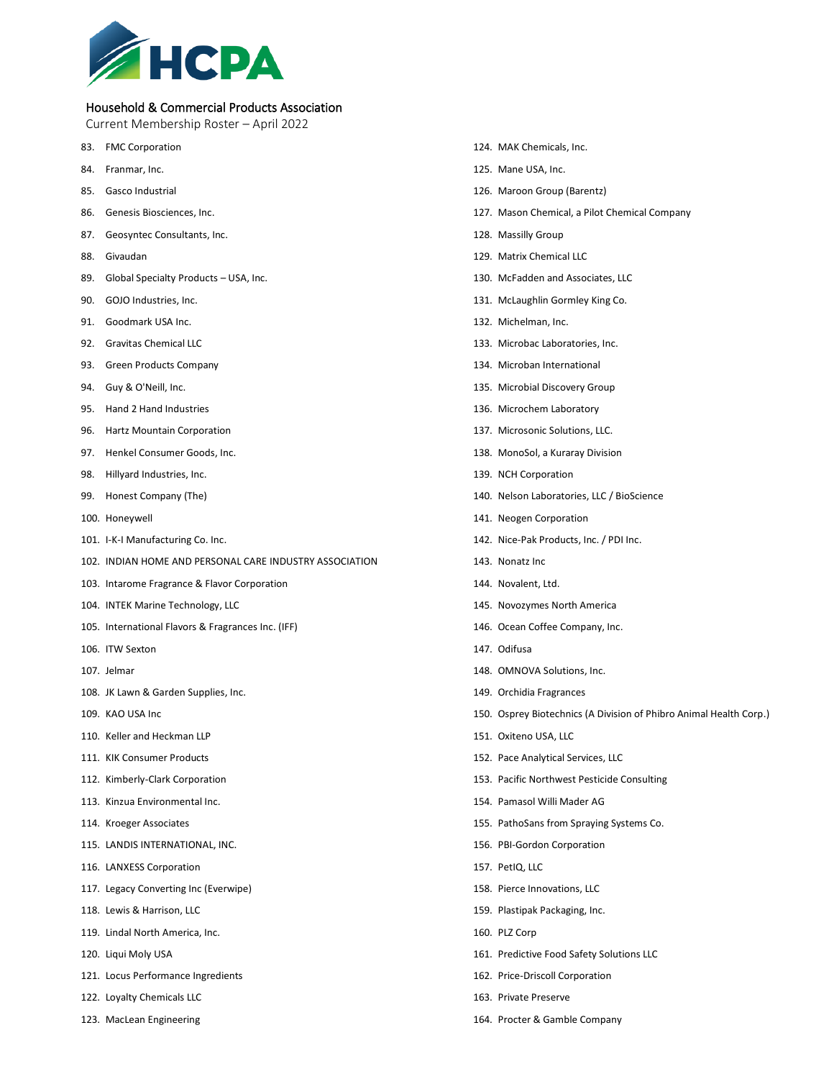

## Household & Commercial Products Association

Current Membership Roster – April 2022

- 83. FMC Corporation
- 84. Franmar, Inc.
- 85. Gasco Industrial
- 86. Genesis Biosciences, Inc.
- 87. Geosyntec Consultants, Inc.
- 88. Givaudan
- 89. Global Specialty Products USA, Inc.
- 90. GOJO Industries, Inc.
- 91. Goodmark USA Inc.
- 92. Gravitas Chemical LLC
- 93. Green Products Company
- 94. Guy & O'Neill, Inc.
- 95. Hand 2 Hand Industries
- 96. Hartz Mountain Corporation
- 97. Henkel Consumer Goods, Inc.
- 98. Hillyard Industries, Inc.
- 99. Honest Company (The)
- 100. Honeywell
- 101. I-K-I Manufacturing Co. Inc.
- 102. INDIAN HOME AND PERSONAL CARE INDUSTRY ASSOCIATION
- 103. Intarome Fragrance & Flavor Corporation
- 104. INTEK Marine Technology, LLC
- 105. International Flavors & Fragrances Inc. (IFF)
- 106. ITW Sexton
- 107. Jelmar
- 108. JK Lawn & Garden Supplies, Inc.
- 109. KAO USA Inc
- 110. Keller and Heckman LLP
- 111. KIK Consumer Products
- 112. Kimberly-Clark Corporation
- 113. Kinzua Environmental Inc.
- 114. Kroeger Associates
- 115. LANDIS INTERNATIONAL, INC.
- 116. LANXESS Corporation
- 117. Legacy Converting Inc (Everwipe)
- 118. Lewis & Harrison, LLC
- 119. Lindal North America, Inc.
- 120. Liqui Moly USA
- 121. Locus Performance Ingredients
- 122. Loyalty Chemicals LLC
- 123. MacLean Engineering
- 124. MAK Chemicals, Inc.
- 125. Mane USA, Inc.
- 126. Maroon Group (Barentz)
- 127. Mason Chemical, a Pilot Chemical Company
- 128. Massilly Group
- 129. Matrix Chemical LLC
- 130. McFadden and Associates, LLC
- 131. McLaughlin Gormley King Co.
- 132. Michelman, Inc.
- 133. Microbac Laboratories, Inc.
- 134. Microban International
- 135. Microbial Discovery Group
- 136. Microchem Laboratory
- 137. Microsonic Solutions, LLC.
- 138. MonoSol, a Kuraray Division
- 139. NCH Corporation
- 140. Nelson Laboratories, LLC / BioScience
- 141. Neogen Corporation
- 142. Nice-Pak Products, Inc. / PDI Inc.
- 143. Nonatz Inc
- 144. Novalent, Ltd.
- 145. Novozymes North America
- 146. Ocean Coffee Company, Inc.
- 147. Odifusa
- 148. OMNOVA Solutions, Inc.
- 149. Orchidia Fragrances
- 150. Osprey Biotechnics (A Division of Phibro Animal Health Corp.)
- 151. Oxiteno USA, LLC
- 152. Pace Analytical Services, LLC
- 153. Pacific Northwest Pesticide Consulting
- 154. Pamasol Willi Mader AG
- 155. PathoSans from Spraying Systems Co.
- 156. PBI-Gordon Corporation
- 157. PetIQ, LLC
- 158. Pierce Innovations, LLC
- 159. Plastipak Packaging, Inc.
- 160. PLZ Corp
- 161. Predictive Food Safety Solutions LLC
- 162. Price-Driscoll Corporation
- 163. Private Preserve
- 164. Procter & Gamble Company